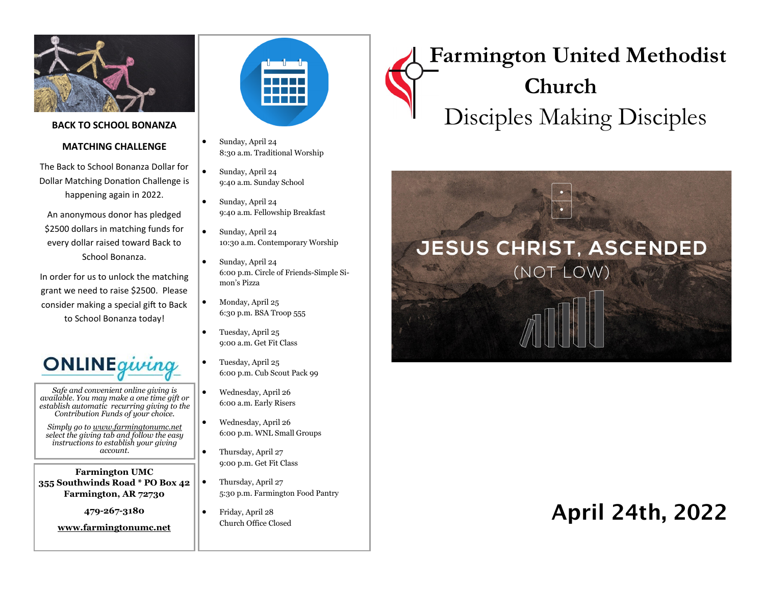

#### **BACK TO SCHOOL BONANZA**

#### **MATCHING CHALLENGE**

The Back to School Bonanza Dollar for Dollar Matching Donation Challenge is happening again in 2022.

An anonymous donor has pledged \$2500 dollars in matching funds for every dollar raised toward Back to School Bonanza.

In order for us to unlock the matching grant we need to raise \$2500. Please consider making a special gift to Back to School Bonanza today!



*Safe and convenient online giving is available. You may make a one time gift or establish automatic recurring giving to the Contribution Funds of your choice.* 

*Simply go to www.farmingtonumc.net select the giving tab and follow the easy instructions to establish your giving account.* 

**Farmington UMC 355 Southwinds Road \* PO Box 42 Farmington, AR 72730**

**479-267-3180** 

**www.farmingtonumc.net** 



- Sunday, April 24 8:30 a.m. Traditional Worship
- Sunday, April 24 9:40 a.m. Sunday School
- Sunday, April 24 9:40 a.m. Fellowship Breakfast
	- Sunday, April 24 10:30 a.m. Contemporary Worship
	- Sunday, April 24 6:00 p.m. Circle of Friends-Simple Simon's Pizza
- Monday, April 25 6:30 p.m. BSA Troop 555
- Tuesday, April 25 9:00 a.m. Get Fit Class
- Tuesday, April 25 6:00 p.m. Cub Scout Pack 99
- Wednesday, April 26 6:00 a.m. Early Risers
- Wednesday, April 26 6:00 p.m. WNL Small Groups
- Thursday, April 27 9:00 p.m. Get Fit Class
- Thursday, April 27 5:30 p.m. Farmington Food Pantry
- Friday, April 28 Church Office Closed

# **Farmington United Methodist Church** Disciples Making Disciples



## April 24th, 2022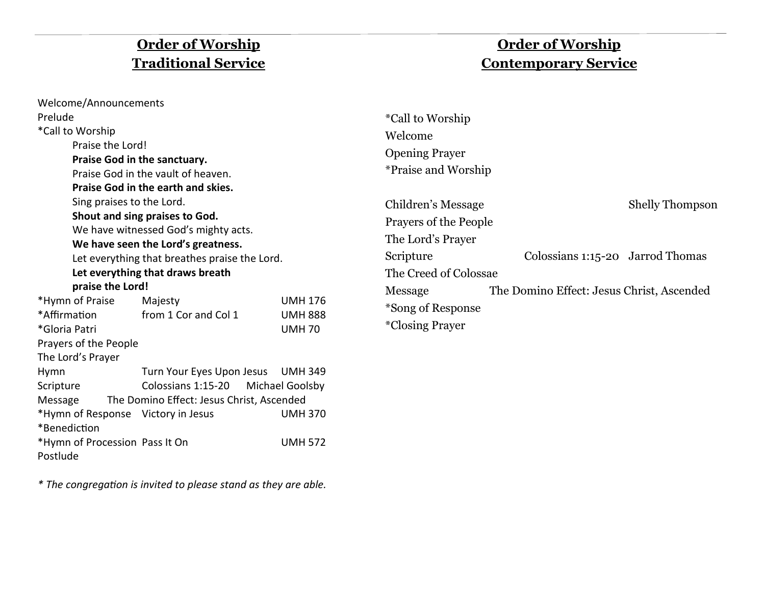## **Order of Worship Traditional Service**

## **Order of Worship Contemporary Service**

| Welcome/Announcements                                                                                                                                                                                                                                                                                                                                                              |                                                                                                                      |                                                  |                                                                  |                                           |                        |  |
|------------------------------------------------------------------------------------------------------------------------------------------------------------------------------------------------------------------------------------------------------------------------------------------------------------------------------------------------------------------------------------|----------------------------------------------------------------------------------------------------------------------|--------------------------------------------------|------------------------------------------------------------------|-------------------------------------------|------------------------|--|
| Prelude                                                                                                                                                                                                                                                                                                                                                                            |                                                                                                                      |                                                  | <i>*Call to Worship</i>                                          |                                           |                        |  |
| *Call to Worship<br>Praise the Lord!<br>Praise God in the sanctuary.<br>Praise God in the vault of heaven.<br>Praise God in the earth and skies.<br>Sing praises to the Lord.<br>Shout and sing praises to God.<br>We have witnessed God's mighty acts.<br>We have seen the Lord's greatness.<br>Let everything that breathes praise the Lord.<br>Let everything that draws breath |                                                                                                                      |                                                  | Welcome<br><b>Opening Prayer</b><br><i>*Praise and Worship</i>   |                                           |                        |  |
|                                                                                                                                                                                                                                                                                                                                                                                    |                                                                                                                      |                                                  | Children's Message<br>Prayers of the People<br>The Lord's Prayer |                                           | <b>Shelly Thompson</b> |  |
|                                                                                                                                                                                                                                                                                                                                                                                    |                                                                                                                      |                                                  | Scripture<br>The Creed of Colossae                               | Colossians 1:15-20 Jarrod Thomas          |                        |  |
| praise the Lord!<br>*Hymn of Praise<br>*Affirmation<br>*Gloria Patri<br>Prayers of the People                                                                                                                                                                                                                                                                                      | Majesty<br>from 1 Cor and Col 1                                                                                      | <b>UMH 176</b><br><b>UMH 888</b><br><b>UMH70</b> | Message<br>*Song of Response<br><i>*Closing Prayer</i>           | The Domino Effect: Jesus Christ, Ascended |                        |  |
| The Lord's Prayer<br>Hymn<br>Scripture<br>Message<br>*Hymn of Response Victory in Jesus                                                                                                                                                                                                                                                                                            | Turn Your Eyes Upon Jesus UMH 349<br>Colossians 1:15-20 Michael Goolsby<br>The Domino Effect: Jesus Christ, Ascended | <b>UMH 370</b>                                   |                                                                  |                                           |                        |  |
| *Benediction<br>*Hymn of Procession Pass It On<br><b>UMH 572</b>                                                                                                                                                                                                                                                                                                                   |                                                                                                                      |                                                  |                                                                  |                                           |                        |  |

*\* The congregation is invited to please stand as they are able.*

Postlude